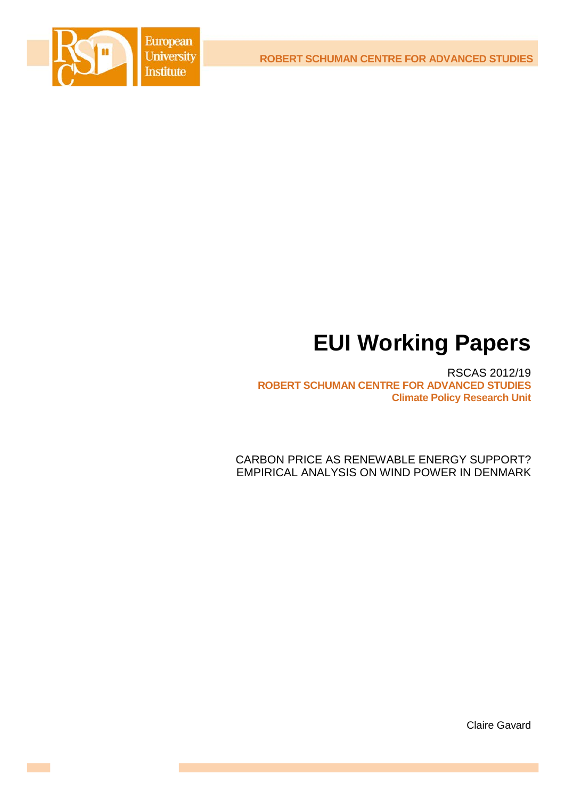**ROBERT SCHUMAN CENTRE FOR ADVANCED STUDIES**



# **EUI Working Papers**

RSCAS 2012/19 **ROBERT SCHUMAN CENTRE FOR ADVANCED STUDIES Climate Policy Research Unit**

<span id="page-0-0"></span>CARBON PRICE AS RENEWABLE ENERGY SUPPORT? EMPIRICAL ANALYSIS ON WIND POWER IN DENMARK

Claire Gavard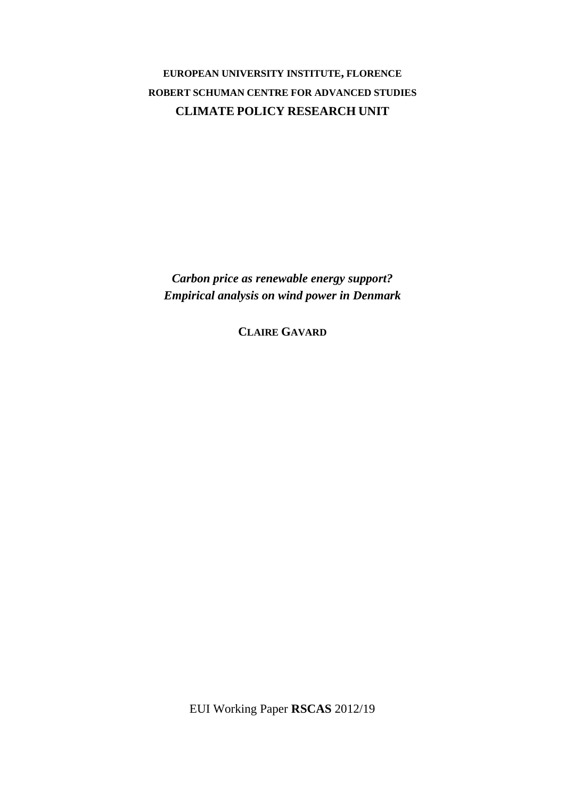## **EUROPEAN UNIVERSITY INSTITUTE, FLORENCE ROBERT SCHUMAN CENTRE FOR ADVANCED STUDIES CLIMATE POLICY RESEARCH UNIT**

*Carbon price as renewable energy support? Empirical analysis on wind power in Denmark*

**CLAIRE GAVARD**

EUI Working Paper **RSCAS** 2012/19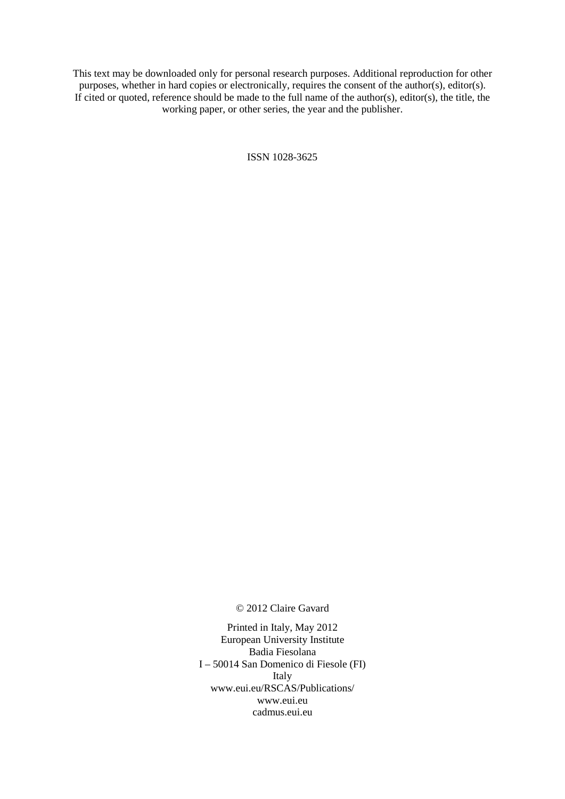This text may be downloaded only for personal research purposes. Additional reproduction for other purposes, whether in hard copies or electronically, requires the consent of the author(s), editor(s). If cited or quoted, reference should be made to the full name of the author(s), editor(s), the title, the working paper, or other series, the year and the publisher.

ISSN 1028-3625

© 2012 Claire Gavard

Printed in Italy, May 2012 European University Institute Badia Fiesolana I – 50014 San Domenico di Fiesole (FI) Italy [www.eui.eu/RSCAS/Publications/](http://www.eui.eu/RSCAS/Publications/) [www.eui.eu](http://www.eui.eu/) [cadmus.eui.eu](http://cadmus.eui.eu/dspace/index.jsp)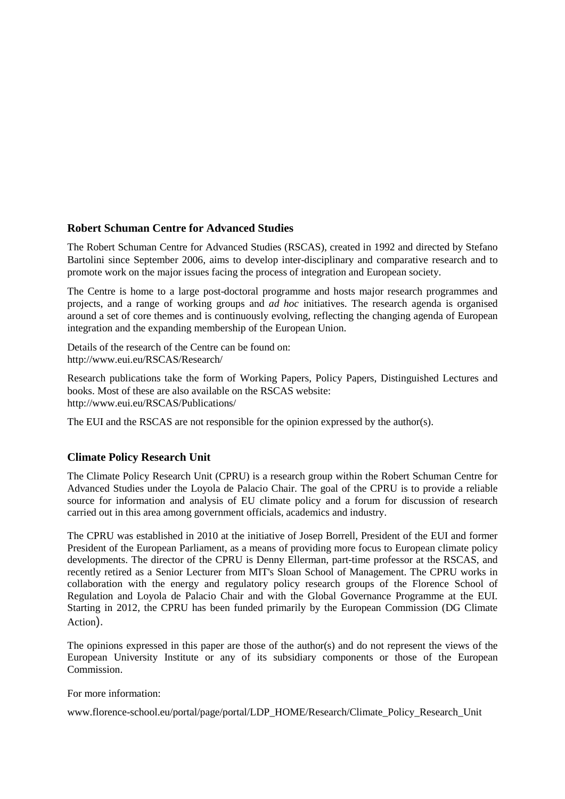## **Robert Schuman Centre for Advanced Studies**

The Robert Schuman Centre for Advanced Studies (RSCAS), created in 1992 and directed by Stefano Bartolini since September 2006, aims to develop inter-disciplinary and comparative research and to promote work on the major issues facing the process of integration and European society.

The Centre is home to a large post-doctoral programme and hosts major research programmes and projects, and a range of working groups and *ad hoc* initiatives. The research agenda is organised around a set of core themes and is continuously evolving, reflecting the changing agenda of European integration and the expanding membership of the European Union.

Details of the research of the Centre can be found on: <http://www.eui.eu/RSCAS/Research/>

Research publications take the form of Working Papers, Policy Papers, Distinguished Lectures and books. Most of these are also available on the RSCAS website: <http://www.eui.eu/RSCAS/Publications/>

The EUI and the RSCAS are not responsible for the opinion expressed by the author(s).

## **Climate Policy Research Unit**

The Climate Policy Research Unit (CPRU) is a research group within the Robert Schuman Centre for Advanced Studies under the Loyola de Palacio Chair. The goal of the CPRU is to provide a reliable source for information and analysis of EU climate policy and a forum for discussion of research carried out in this area among government officials, academics and industry.

The CPRU was established in 2010 at the initiative of Josep Borrell, President of the EUI and former President of the European Parliament, as a means of providing more focus to European climate policy developments. The director of the CPRU is [Denny Ellerman,](http://www.florence-school.eu/portal/page/portal/LDP_HOME/About/People/Governance_2#Ellerman) part-time professor at the RSCAS, and recently retired as a Senior Lecturer from MIT's Sloan School of Management. The CPRU works in collaboration with the energy and regulatory policy research groups of the Florence School of Regulation and Loyola de Palacio Chair and with the Global Governance Programme at the EUI. Starting in 2012, the CPRU has been funded primarily by the European Commission (DG Climate Action).

The opinions expressed in this paper are those of the author(s) and do not represent the views of the European University Institute or any of its subsidiary components or those of the European Commission.

For more information:

www.florence-school.eu/portal/page/portal/LDP\_HOME/Research/Climate\_Policy\_Research\_Unit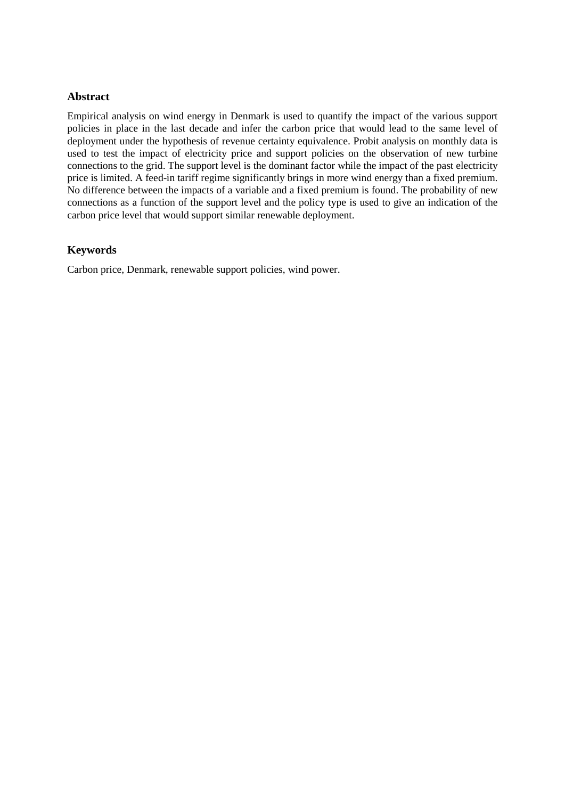## **Abstract**

Empirical analysis on wind energy in Denmark is used to quantify the impact of the various support policies in place in the last decade and infer the carbon price that would lead to the same level of deployment under the hypothesis of revenue certainty equivalence. Probit analysis on monthly data is used to test the impact of electricity price and support policies on the observation of new turbine connections to the grid. The support level is the dominant factor while the impact of the past electricity price is limited. A feed-in tariff regime significantly brings in more wind energy than a fixed premium. No difference between the impacts of a variable and a fixed premium is found. The probability of new connections as a function of the support level and the policy type is used to give an indication of the carbon price level that would support similar renewable deployment.

## **Keywords**

Carbon price, Denmark, renewable support policies, wind power.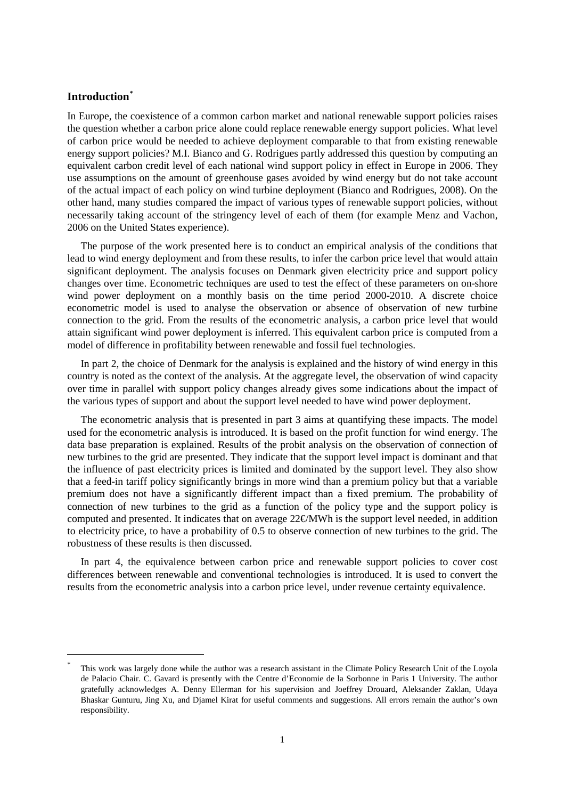## **Introduction[\\*](#page-0-0)**

In Europe, the coexistence of a common carbon market and national renewable support policies raises the question whether a carbon price alone could replace renewable energy support policies. What level of carbon price would be needed to achieve deployment comparable to that from existing renewable energy support policies? M.I. Bianco and G. Rodrigues partly addressed this question by computing an equivalent carbon credit level of each national wind support policy in effect in Europe in 2006. They use assumptions on the amount of greenhouse gases avoided by wind energy but do not take account of the actual impact of each policy on wind turbine deployment (Bianco and Rodrigues, 2008). On the other hand, many studies compared the impact of various types of renewable support policies, without necessarily taking account of the stringency level of each of them (for example Menz and Vachon, 2006 on the United States experience).

The purpose of the work presented here is to conduct an empirical analysis of the conditions that lead to wind energy deployment and from these results, to infer the carbon price level that would attain significant deployment. The analysis focuses on Denmark given electricity price and support policy changes over time. Econometric techniques are used to test the effect of these parameters on on-shore wind power deployment on a monthly basis on the time period 2000-2010. A discrete choice econometric model is used to analyse the observation or absence of observation of new turbine connection to the grid. From the results of the econometric analysis, a carbon price level that would attain significant wind power deployment is inferred. This equivalent carbon price is computed from a model of difference in profitability between renewable and fossil fuel technologies.

In part 2, the choice of Denmark for the analysis is explained and the history of wind energy in this country is noted as the context of the analysis. At the aggregate level, the observation of wind capacity over time in parallel with support policy changes already gives some indications about the impact of the various types of support and about the support level needed to have wind power deployment.

The econometric analysis that is presented in part 3 aims at quantifying these impacts. The model used for the econometric analysis is introduced. It is based on the profit function for wind energy. The data base preparation is explained. Results of the probit analysis on the observation of connection of new turbines to the grid are presented. They indicate that the support level impact is dominant and that the influence of past electricity prices is limited and dominated by the support level. They also show that a feed-in tariff policy significantly brings in more wind than a premium policy but that a variable premium does not have a significantly different impact than a fixed premium. The probability of connection of new turbines to the grid as a function of the policy type and the support policy is computed and presented. It indicates that on average  $22 \text{\textcircled{d}}$  with is the support level needed, in addition to electricity price, to have a probability of 0.5 to observe connection of new turbines to the grid. The robustness of these results is then discussed.

In part 4, the equivalence between carbon price and renewable support policies to cover cost differences between renewable and conventional technologies is introduced. It is used to convert the results from the econometric analysis into a carbon price level, under revenue certainty equivalence.

<span id="page-8-0"></span>This work was largely done while the author was a research assistant in the Climate Policy Research Unit of the Loyola de Palacio Chair. C. Gavard is presently with the Centre d'Economie de la Sorbonne in Paris 1 University. The author gratefully acknowledges A. Denny Ellerman for his supervision and Joeffrey Drouard, Aleksander Zaklan, Udaya Bhaskar Gunturu, Jing Xu, and Djamel Kirat for useful comments and suggestions. All errors remain the author's own responsibility.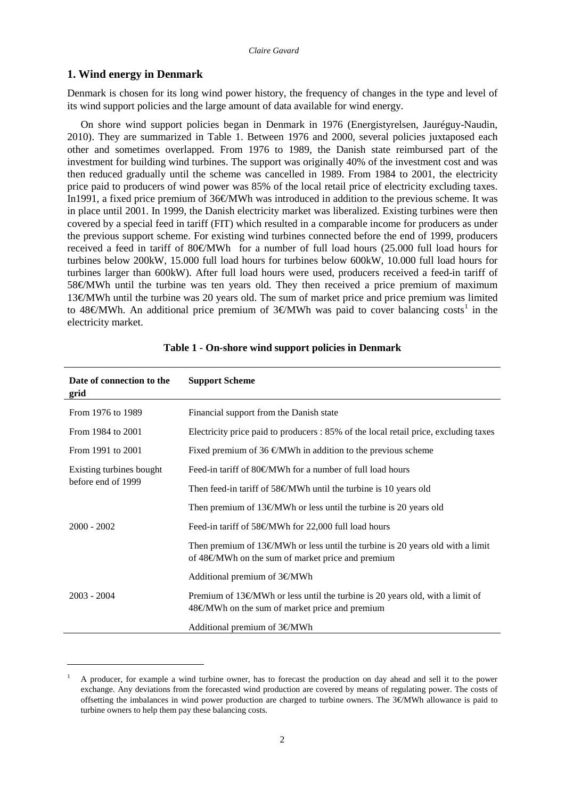## **1. Wind energy in Denmark**

-

Denmark is chosen for its long wind power history, the frequency of changes in the type and level of its wind support policies and the large amount of data available for wind energy.

On shore wind support policies began in Denmark in 1976 (Energistyrelsen, Jauréguy-Naudin, 2010). They are summarized in Table 1. Between 1976 and 2000, several policies juxtaposed each other and sometimes overlapped. From 1976 to 1989, the Danish state reimbursed part of the investment for building wind turbines. The support was originally 40% of the investment cost and was then reduced gradually until the scheme was cancelled in 1989. From 1984 to 2001, the electricity price paid to producers of wind power was 85% of the local retail price of electricity excluding taxes. In1991, a fixed price premium of 36€/MWh was introduced in addition to the previous scheme. It was in place until 2001. In 1999, the Danish electricity market was liberalized. Existing turbines were then covered by a special feed in tariff (FIT) which resulted in a comparable income for producers as under the previous support scheme. For existing wind turbines connected before the end of 1999, producers received a feed in tariff of 80€/MWh for a number of full load hours (25.000 full load hours for turbines below 200kW, 15.000 full load hours for turbines below 600kW, 10.000 full load hours for turbines larger than 600kW). After full load hours were used, producers received a feed-in tariff of 58€MWh until the turbine was ten years old. They then received a price premium of maximum 13€/MWh until the turbine was 20 years old. The sum of market price and price premium was limited to 48€MWh. An additional price premium of 3€MWh was paid to cover balancing costs<sup>[1](#page-8-0)</sup> in the electricity market.

| Date of connection to the<br>grid | <b>Support Scheme</b>                                                                                                                                         |  |  |
|-----------------------------------|---------------------------------------------------------------------------------------------------------------------------------------------------------------|--|--|
| From 1976 to 1989                 | Financial support from the Danish state                                                                                                                       |  |  |
| From 1984 to 2001                 | Electricity price paid to producers : 85% of the local retail price, excluding taxes                                                                          |  |  |
| From 1991 to 2001                 | Fixed premium of 36 $\oplus$ MWh in addition to the previous scheme                                                                                           |  |  |
| Existing turbines bought          | Feed-in tariff of $80\in$ MWh for a number of full load hours                                                                                                 |  |  |
| before end of 1999                | Then feed-in tariff of 58 $\epsilon$ MWh until the turbine is 10 years old                                                                                    |  |  |
|                                   | Then premium of 13 $\epsilon$ MWh or less until the turbine is 20 years old                                                                                   |  |  |
| $2000 - 2002$                     | Feed-in tariff of $58\text{€MWh}$ for 22,000 full load hours                                                                                                  |  |  |
|                                   | Then premium of 13 $\epsilon$ MWh or less until the turbine is 20 years old with a limit<br>of 48€MWh on the sum of market price and premium                  |  |  |
| $2003 - 2004$                     | Additional premium of $3 \in$ MWh                                                                                                                             |  |  |
|                                   | Premium of 13 $\epsilon$ MWh or less until the turbine is 20 years old, with a limit of<br>$48\text{ }\mathcal{C}$ MWh on the sum of market price and premium |  |  |
|                                   | Additional premium of $3 \in$ MWh                                                                                                                             |  |  |

#### **Table 1 - On-shore wind support policies in Denmark**

<span id="page-9-0"></span><sup>1</sup> A producer, for example a wind turbine owner, has to forecast the production on day ahead and sell it to the power exchange. Any deviations from the forecasted wind production are covered by means of regulating power. The costs of offsetting the imbalances in wind power production are charged to turbine owners. The 3€/MWh allowance is paid to turbine owners to help them pay these balancing costs.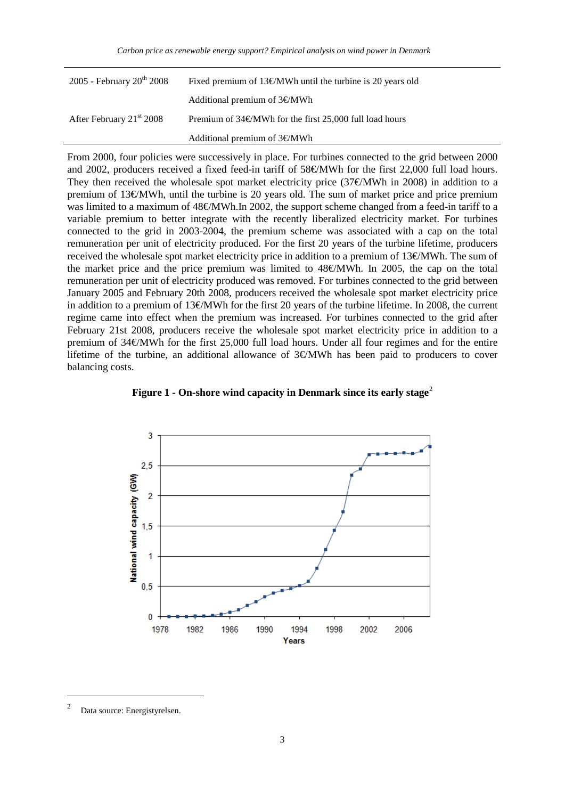| 2005 - February $20^{th}$ 2008       | Fixed premium of $13\text{€MWh}$ until the turbine is 20 years old |  |  |
|--------------------------------------|--------------------------------------------------------------------|--|--|
|                                      | Additional premium of $3 \in MWh$                                  |  |  |
| After February 21 <sup>st</sup> 2008 | Premium of $34\epsilon$ MWh for the first 25,000 full load hours   |  |  |
|                                      | Additional premium of $3 \in MWh$                                  |  |  |

From 2000, four policies were successively in place. For turbines connected to the grid between 2000 and 2002, producers received a fixed feed-in tariff of 58€/MWh for the first 22,000 full load hours. They then received the wholesale spot market electricity price (37€MWh in 2008) in addition to a premium of 13€MWh, until the turbine is 20 years old. The sum of market price and price premium was limited to a maximum of 48€MWh.In 2002, the support scheme changed from a feed-in tariff to a variable premium to better integrate with the recently liberalized electricity market. For turbines connected to the grid in 2003-2004, the premium scheme was associated with a cap on the total remuneration per unit of electricity produced. For the first 20 years of the turbine lifetime, producers received the wholesale spot market electricity price in addition to a premium of 13€/MWh. The sum of the market price and the price premium was limited to  $48\epsilon$ MWh. In 2005, the cap on the total remuneration per unit of electricity produced was removed. For turbines connected to the grid between January 2005 and February 20th 2008, producers received the wholesale spot market electricity price in addition to a premium of 13€/MWh for the first 20 years of the turbine lifetime. In 2008, the current regime came into effect when the premium was increased. For turbines connected to the grid after February 21st 2008, producers receive the wholesale spot market electricity price in addition to a premium of 34€/MWh for the first 25,000 full load hours. Under all four regimes and for the entire lifetime of the turbine, an additional allowance of 3€/MWh has been paid to producers to cover balancing costs.



**Figure 1 - On-shore wind capacity in Denmark since its early stage<sup>[2](#page-9-0)</sup>** 

<span id="page-10-0"></span> <sup>2</sup> Data source: Energistyrelsen.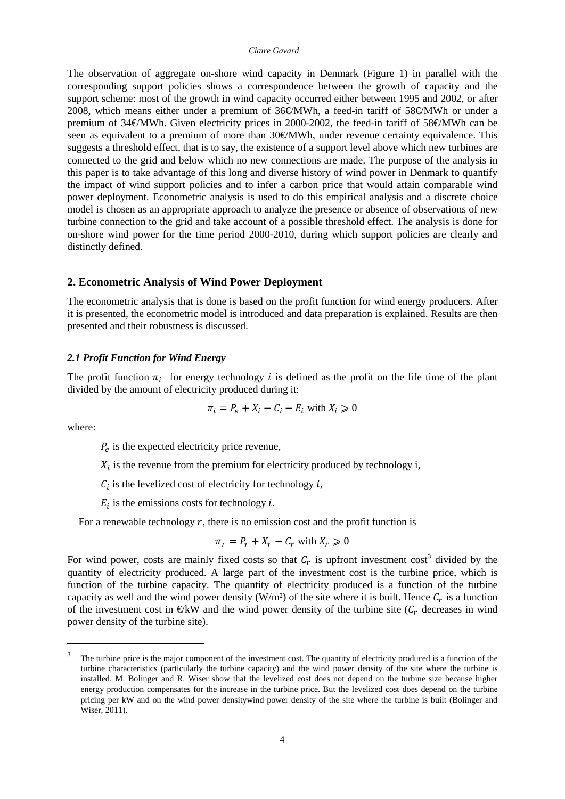#### *Claire Gavard*

The observation of aggregate on-shore wind capacity in Denmark (Figure 1) in parallel with the corresponding support policies shows a correspondence between the growth of capacity and the support scheme: most of the growth in wind capacity occurred either between 1995 and 2002, or after 2008, which means either under a premium of 36€/MWh, a feed-in tariff of 58€/MWh or under a premium of 34€/MWh. Given electricity prices in 2000-2002, the feed-in tariff of 58€/MWh can be seen as equivalent to a premium of more than 30€MWh, under revenue certainty equivalence. This suggests a threshold effect, that is to say, the existence of a support level above which new turbines are connected to the grid and below which no new connections are made. The purpose of the analysis in this paper is to take advantage of this long and diverse history of wind power in Denmark to quantify the impact of wind support policies and to infer a carbon price that would attain comparable wind power deployment. Econometric analysis is used to do this empirical analysis and a discrete choice model is chosen as an appropriate approach to analyze the presence or absence of observations of new turbine connection to the grid and take account of a possible threshold effect. The analysis is done for on-shore wind power for the time period 2000-2010, during which support policies are clearly and distinctly defined.

## **2. Econometric Analysis of Wind Power Deployment**

The econometric analysis that is done is based on the profit function for wind energy producers. After it is presented, the econometric model is introduced and data preparation is explained. Results are then presented and their robustness is discussed.

#### *2.1 Profit Function for Wind Energy*

The profit function  $\pi_i$  for energy technology *i* is defined as the profit on the life time of the plant divided by the amount of electricity produced during it:

$$
\pi_i = P_e + X_i - C_i - E_i \text{ with } X_i \ge 0
$$

where:

 $P_e$  is the expected electricity price revenue,

 $X_i$  is the revenue from the premium for electricity produced by technology i,

 $C_i$  is the levelized cost of electricity for technology *i*,

 $E_i$  is the emissions costs for technology *i*.

For a renewable technology  $r$ , there is no emission cost and the profit function is

$$
\pi_r = P_r + X_r - C_r \text{ with } X_r \ge 0
$$

For wind power, costs are mainly fixed costs so that  $C_r$  is upfront investment cost<sup>[3](#page-10-0)</sup> divided by the quantity of electricity produced. A large part of the investment cost is the turbine price, which is function of the turbine capacity. The quantity of electricity produced is a function of the turbine capacity as well and the wind power density (W/m²) of the site where it is built. Hence  $C_r$  is a function of the investment cost in  $\bigoplus$ KW and the wind power density of the turbine site ( $C_r$  decreases in wind power density of the turbine site).

<span id="page-11-0"></span><sup>&</sup>lt;sup>3</sup> The turbine price is the major component of the investment cost. The quantity of electricity produced is a function of the turbine characteristics (particularly the turbine capacity) and the wind power density of the site where the turbine is installed. M. Bolinger and R. Wiser show that the levelized cost does not depend on the turbine size because higher energy production compensates for the increase in the turbine price. But the levelized cost does depend on the turbine pricing per kW and on the wind power densitywind power density of the site where the turbine is built (Bolinger and Wiser, 2011).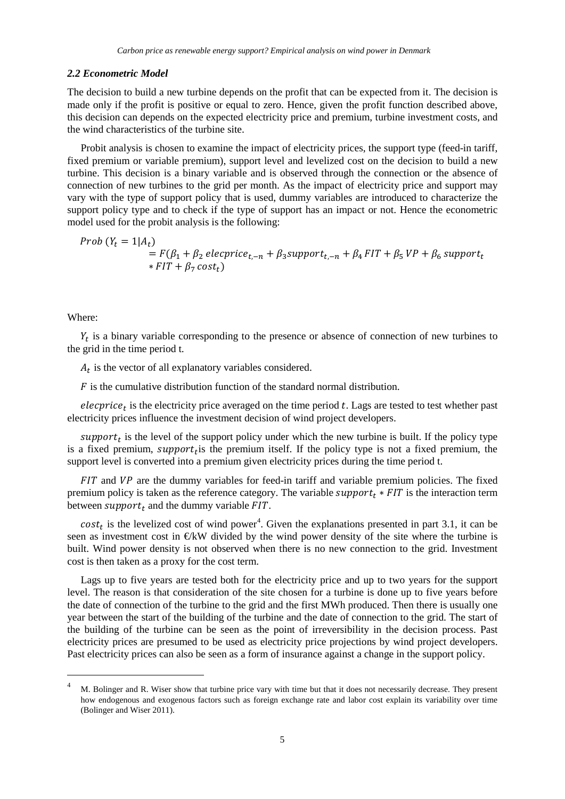#### *2.2 Econometric Model*

The decision to build a new turbine depends on the profit that can be expected from it. The decision is made only if the profit is positive or equal to zero. Hence, given the profit function described above, this decision can depends on the expected electricity price and premium, turbine investment costs, and the wind characteristics of the turbine site.

Probit analysis is chosen to examine the impact of electricity prices, the support type (feed-in tariff, fixed premium or variable premium), support level and levelized cost on the decision to build a new turbine. This decision is a binary variable and is observed through the connection or the absence of connection of new turbines to the grid per month. As the impact of electricity price and support may vary with the type of support policy that is used, dummy variables are introduced to characterize the support policy type and to check if the type of support has an impact or not. Hence the econometric model used for the probit analysis is the following:

*Prob* 
$$
(Y_t = 1|A_t)
$$
  
=  $F(\beta_1 + \beta_2 \text{ electric}_{t,-n} + \beta_3 \text{ support}_{t,-n} + \beta_4 \text{ FIT} + \beta_5 \text{ VP} + \beta_6 \text{ support}_{t}$   
\*  $FIT + \beta_7 \text{ cost}_t$ 

Where:

 $Y_t$  is a binary variable corresponding to the presence or absence of connection of new turbines to the grid in the time period t.

 $A_t$  is the vector of all explanatory variables considered.

 $\ddot{F}$  is the cumulative distribution function of the standard normal distribution.

elecprice<sub>t</sub> is the electricity price averaged on the time period  $t$ . Lags are tested to test whether past electricity prices influence the investment decision of wind project developers.

support<sub>t</sub> is the level of the support policy under which the new turbine is built. If the policy type is a fixed premium, support<sub>t</sub> is the premium itself. If the policy type is not a fixed premium, the support level is converted into a premium given electricity prices during the time period t.

 $FIT$  and  $VP$  are the dummy variables for feed-in tariff and variable premium policies. The fixed premium policy is taken as the reference category. The variable  $support_t * FIT$  is the interaction term between  $support_t$  and the dummy variable  $FIT$ .

 $cost_t$  is the levelized cost of wind power<sup>[4](#page-11-0)</sup>. Given the explanations presented in part 3.1, it can be seen as investment cost in €kW divided by the wind power density of the site where the turbine is built. Wind power density is not observed when there is no new connection to the grid. Investment cost is then taken as a proxy for the cost term.

<span id="page-12-0"></span>Lags up to five years are tested both for the electricity price and up to two years for the support level. The reason is that consideration of the site chosen for a turbine is done up to five years before the date of connection of the turbine to the grid and the first MWh produced. Then there is usually one year between the start of the building of the turbine and the date of connection to the grid. The start of the building of the turbine can be seen as the point of irreversibility in the decision process. Past electricity prices are presumed to be used as electricity price projections by wind project developers. Past electricity prices can also be seen as a form of insurance against a change in the support policy.

 <sup>4</sup> M. Bolinger and R. Wiser show that turbine price vary with time but that it does not necessarily decrease. They present how endogenous and exogenous factors such as foreign exchange rate and labor cost explain its variability over time (Bolinger and Wiser 2011).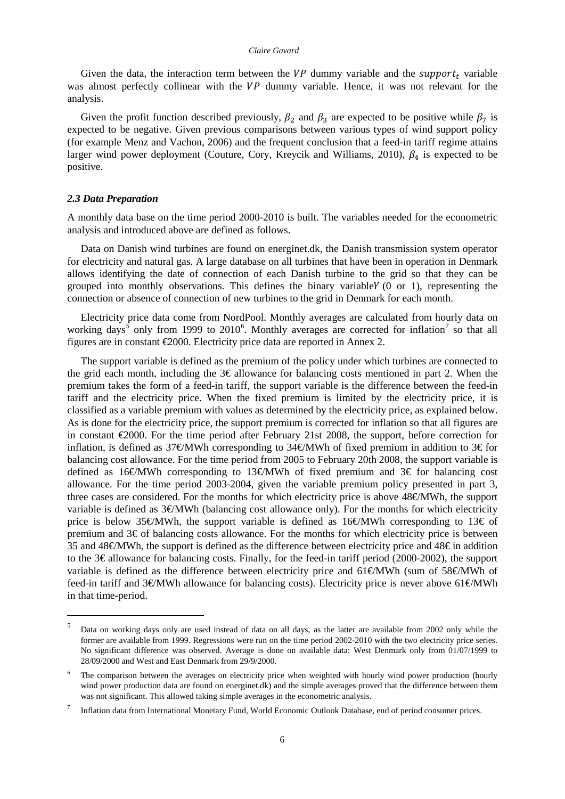#### *Claire Gavard*

Given the data, the interaction term between the  $VP$  dummy variable and the *support<sub>t</sub>* variable was almost perfectly collinear with the  $VP$  dummy variable. Hence, it was not relevant for the analysis.

Given the profit function described previously,  $\beta_2$  and  $\beta_3$  are expected to be positive while  $\beta_7$  is expected to be negative. Given previous comparisons between various types of wind support policy (for example Menz and Vachon, 2006) and the frequent conclusion that a feed-in tariff regime attains larger wind power deployment (Couture, Cory, Kreycik and Williams, 2010),  $\beta_4$  is expected to be positive.

#### *2.3 Data Preparation*

A monthly data base on the time period 2000-2010 is built. The variables needed for the econometric analysis and introduced above are defined as follows.

Data on Danish wind turbines are found on energinet.dk, the Danish transmission system operator for electricity and natural gas. A large database on all turbines that have been in operation in Denmark allows identifying the date of connection of each Danish turbine to the grid so that they can be grouped into monthly observations. This defines the binary variable  $Y(0)$  or 1), representing the connection or absence of connection of new turbines to the grid in Denmark for each month.

Electricity price data come from NordPool. Monthly averages are calculated from hourly data on working days<sup>[5](#page-12-0)</sup> only from 1999 to 2010<sup>[6](#page-13-0)</sup>. Monthly averages are corrected for inflation<sup>[7](#page-13-1)</sup> so that all figures are in constant €2000. Electricity price data are reported in Annex 2.

The support variable is defined as the premium of the policy under which turbines are connected to the grid each month, including the 3€ allowance for balancing costs mentioned in part 2. When the premium takes the form of a feed-in tariff, the support variable is the difference between the feed-in tariff and the electricity price. When the fixed premium is limited by the electricity price, it is classified as a variable premium with values as determined by the electricity price, as explained below. As is done for the electricity price, the support premium is corrected for inflation so that all figures are in constant €2000. For the time period after February 21st 2008, the support, before correction for inflation, is defined as 37€MWh corresponding to 34€MWh of fixed premium in addition to 3€ for balancing cost allowance. For the time period from 2005 to February 20th 2008, the support variable is defined as 16€/MWh corresponding to 13€/MWh of fixed premium and 3€ for balancing cost allowance. For the time period 2003-2004, given the variable premium policy presented in part 3, three cases are considered. For the months for which electricity price is above 48€/MWh, the support variable is defined as 3€MWh (balancing cost allowance only). For the months for which electricity price is below 35€MWh, the support variable is defined as 16€MWh corresponding to 13€ of premium and 3€ of balancing costs allowance. For the months for which electricity price is between 35 and 48€MWh, the support is defined as the difference between electricity price and 48€ in addition to the  $3\epsilon$  allowance for balancing costs. Finally, for the feed-in tariff period (2000-2002), the support variable is defined as the difference between electricity price and 61€MWh (sum of 58€MWh of feed-in tariff and 3€MWh allowance for balancing costs). Electricity price is never above 61€MWh in that time-period.

 <sup>5</sup> Data on working days only are used instead of data on all days, as the latter are available from 2002 only while the former are available from 1999. Regressions were run on the time period 2002-2010 with the two electricity price series. No significant difference was observed. Average is done on available data: West Denmark only from 01/07/1999 to 28/09/2000 and West and East Denmark from 29/9/2000.

<span id="page-13-0"></span>The comparison between the averages on electricity price when weighted with hourly wind power production (hourly wind power production data are found on energinet.dk) and the simple averages proved that the difference between them was not significant. This allowed taking simple averages in the econometric analysis.

<span id="page-13-2"></span><span id="page-13-1"></span><sup>7</sup> Inflation data from International Monetary Fund, World Economic Outlook Database, end of period consumer prices.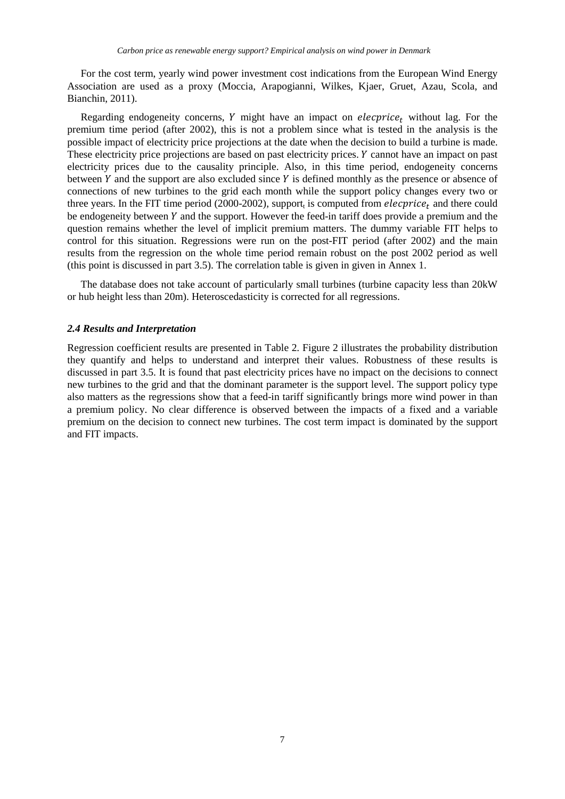For the cost term, yearly wind power investment cost indications from the European Wind Energy Association are used as a proxy (Moccia, Arapogianni, Wilkes, Kjaer, Gruet, Azau, Scola, and Bianchin, 2011).

Regarding endogeneity concerns, Y might have an impact on *elecprice*<sub>t</sub> without lag. For the premium time period (after 2002), this is not a problem since what is tested in the analysis is the possible impact of electricity price projections at the date when the decision to build a turbine is made. These electricity price projections are based on past electricity prices. *Y* cannot have an impact on past electricity prices due to the causality principle. Also, in this time period, endogeneity concerns between  $Y$  and the support are also excluded since  $Y$  is defined monthly as the presence or absence of connections of new turbines to the grid each month while the support policy changes every two or three years. In the FIT time period (2000-2002), support<sub>t</sub> is computed from *elecprice<sub>t</sub>* and there could be endogeneity between  $Y$  and the support. However the feed-in tariff does provide a premium and the question remains whether the level of implicit premium matters. The dummy variable FIT helps to control for this situation. Regressions were run on the post-FIT period (after 2002) and the main results from the regression on the whole time period remain robust on the post 2002 period as well (this point is discussed in part 3.5). The correlation table is given in given in Annex 1.

The database does not take account of particularly small turbines (turbine capacity less than 20kW or hub height less than 20m). Heteroscedasticity is corrected for all regressions.

#### *2.4 Results and Interpretation*

Regression coefficient results are presented in Table 2. Figure 2 illustrates the probability distribution they quantify and helps to understand and interpret their values. Robustness of these results is discussed in part 3.5. It is found that past electricity prices have no impact on the decisions to connect new turbines to the grid and that the dominant parameter is the support level. The support policy type also matters as the regressions show that a feed-in tariff significantly brings more wind power in than a premium policy. No clear difference is observed between the impacts of a fixed and a variable premium on the decision to connect new turbines. The cost term impact is dominated by the support and FIT impacts.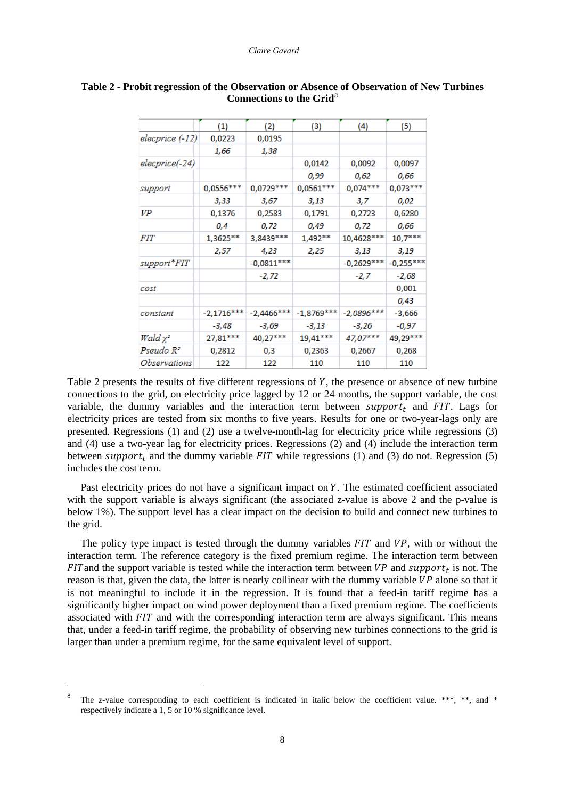|                       | (1)          | (2)           | (3)          | (4)          | (5)         |
|-----------------------|--------------|---------------|--------------|--------------|-------------|
| elecprice (-12)       | 0,0223       | 0,0195        |              |              |             |
|                       | 1,66         | 1,38          |              |              |             |
| elecprice(-24)        |              |               | 0,0142       | 0,0092       | 0,0097      |
|                       |              |               | 0,99         | 0,62         | 0,66        |
| support               | $0,0556***$  | 0,0729 ***    | $0,0561***$  | $0,074***$   | $0,073***$  |
|                       | 3,33         | 3,67          | 3,13         | 3,7          | 0,02        |
| VP                    | 0,1376       | 0,2583        | 0,1791       | 0,2723       | 0,6280      |
|                       | 0,4          | 0,72          | 0,49         | 0,72         | 0,66        |
| <i>FIT</i>            | 1,3625**     | 3,8439 ***    | 1,492**      | 10,4628 ***  | $10,7***$   |
|                       | 2,57         | 4,23          | 2,25         | 3,13         | 3,19        |
| support*FIT           |              | $-0,0811***$  |              | $-0,2629***$ | $-0,255***$ |
|                       |              | -2,72         |              | $-2,7$       | $-2,68$     |
| cost                  |              |               |              |              | 0,001       |
|                       |              |               |              |              | 0,43        |
| constant              | $-2,1716***$ | $-2,4466$ *** | $-1,8769***$ | $-2,0896***$ | $-3,666$    |
|                       | -3,48        | -3,69         | $-3,13$      | -3,26        | -0,97       |
| Wald x2               | 27,81***     | 40,27***      | 19,41***     | 47,07***     | 49,29***    |
| Pseudo R <del>'</del> | 0,2812       | 0,3           | 0,2363       | 0,2667       | 0,268       |
| Observations          | 122          | 122           | 110          | 110          | 110         |

## **Table 2 - Probit regression of the Observation or Absence of Observation of New Turbines Connections to the Grid**<sup>[8](#page-13-2)</sup>

Table 2 presents the results of five different regressions of  $Y$ , the presence or absence of new turbine connections to the grid, on electricity price lagged by 12 or 24 months, the support variable, the cost variable, the dummy variables and the interaction term between  $support_t$  and FIT. Lags for electricity prices are tested from six months to five years. Results for one or two-year-lags only are presented. Regressions (1) and (2) use a twelve-month-lag for electricity price while regressions (3) and (4) use a two-year lag for electricity prices. Regressions (2) and (4) include the interaction term between support<sub>t</sub> and the dummy variable  $FIT$  while regressions (1) and (3) do not. Regression (5) includes the cost term.

Past electricity prices do not have a significant impact on Y. The estimated coefficient associated with the support variable is always significant (the associated z-value is above 2 and the p-value is below 1%). The support level has a clear impact on the decision to build and connect new turbines to the grid.

The policy type impact is tested through the dummy variables  $FIT$  and  $VP$ , with or without the interaction term. The reference category is the fixed premium regime. The interaction term between FIT and the support variable is tested while the interaction term between  $VP$  and  $support_t$  is not. The reason is that, given the data, the latter is nearly collinear with the dummy variable  $VP$  alone so that it is not meaningful to include it in the regression. It is found that a feed-in tariff regime has a significantly higher impact on wind power deployment than a fixed premium regime. The coefficients associated with  $FIT$  and with the corresponding interaction term are always significant. This means that, under a feed-in tariff regime, the probability of observing new turbines connections to the grid is larger than under a premium regime, for the same equivalent level of support.

<span id="page-15-0"></span>The z-value corresponding to each coefficient is indicated in italic below the coefficient value. \*\*\*, \*\*, and \* respectively indicate a 1, 5 or 10 % significance level.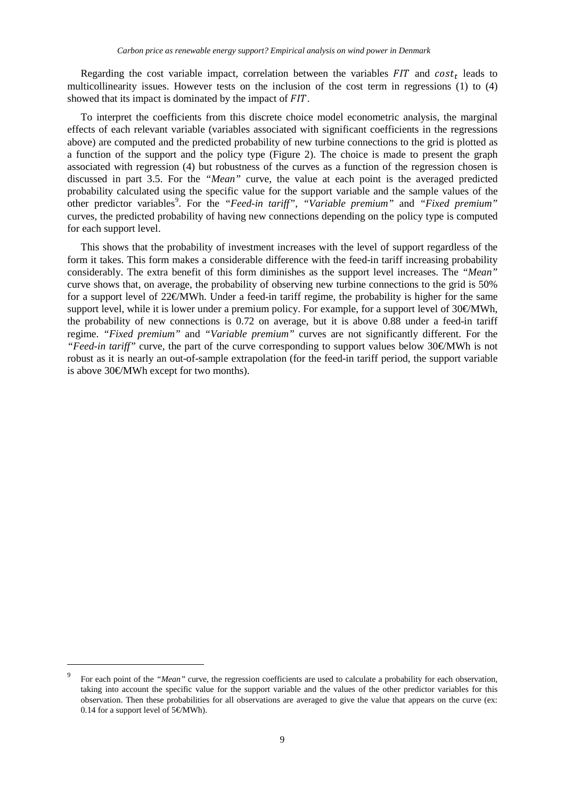Regarding the cost variable impact, correlation between the variables  $FIT$  and  $cost_t$  leads to multicollinearity issues. However tests on the inclusion of the cost term in regressions (1) to (4) showed that its impact is dominated by the impact of FIT.

To interpret the coefficients from this discrete choice model econometric analysis, the marginal effects of each relevant variable (variables associated with significant coefficients in the regressions above) are computed and the predicted probability of new turbine connections to the grid is plotted as a function of the support and the policy type (Figure 2). The choice is made to present the graph associated with regression (4) but robustness of the curves as a function of the regression chosen is discussed in part 3.5. For the *"Mean"* curve, the value at each point is the averaged predicted probability calculated using the specific value for the support variable and the sample values of the other predictor variables<sup>[9](#page-15-0)</sup>. For the "Feed-in tariff", "Variable premium" and "Fixed premium" curves, the predicted probability of having new connections depending on the policy type is computed for each support level.

This shows that the probability of investment increases with the level of support regardless of the form it takes. This form makes a considerable difference with the feed-in tariff increasing probability considerably. The extra benefit of this form diminishes as the support level increases. The *"Mean"* curve shows that, on average, the probability of observing new turbine connections to the grid is 50% for a support level of 22€/MWh. Under a feed-in tariff regime, the probability is higher for the same support level, while it is lower under a premium policy. For example, for a support level of  $30\notin MWh$ , the probability of new connections is 0.72 on average, but it is above 0.88 under a feed-in tariff regime. *"Fixed premium"* and *"Variable premium"* curves are not significantly different. For the *"Feed-in tariff"* curve, the part of the curve corresponding to support values below 30€/MWh is not robust as it is nearly an out-of-sample extrapolation (for the feed-in tariff period, the support variable is above 30€/MWh except for two months).

<span id="page-16-0"></span> <sup>9</sup> For each point of the *"Mean"* curve, the regression coefficients are used to calculate a probability for each observation, taking into account the specific value for the support variable and the values of the other predictor variables for this observation. Then these probabilities for all observations are averaged to give the value that appears on the curve (ex: 0.14 for a support level of  $5 \in \text{MWh}$ .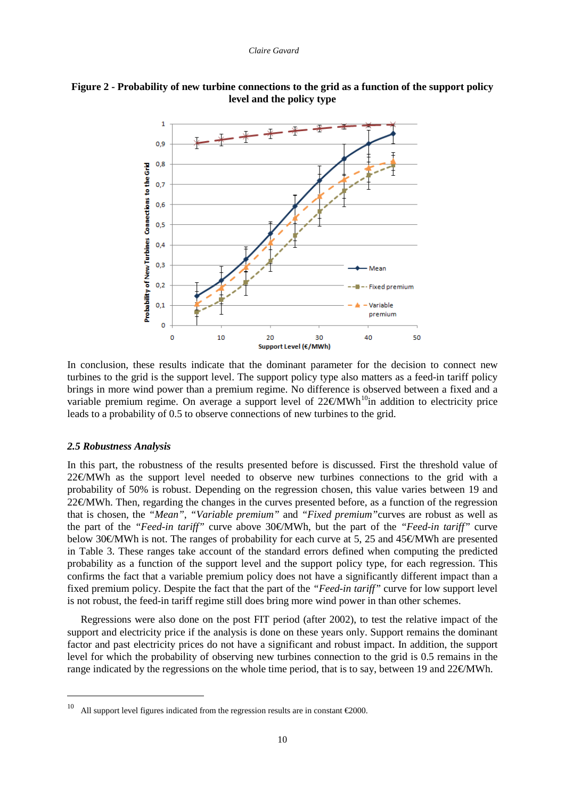



In conclusion, these results indicate that the dominant parameter for the decision to connect new turbines to the grid is the support level. The support policy type also matters as a feed-in tariff policy brings in more wind power than a premium regime. No difference is observed between a fixed and a variable premium regime. On average a support level of  $22 \text{€MWh}^{10}$  in addition to electricity price leads to a probability of 0.5 to observe connections of new turbines to the grid.

#### *2.5 Robustness Analysis*

In this part, the robustness of the results presented before is discussed. First the threshold value of  $22 \notin MWh$  as the support level needed to observe new turbines connections to the grid with a probability of 50% is robust. Depending on the regression chosen, this value varies between 19 and 22€MWh. Then, regarding the changes in the curves presented before, as a function of the regression that is chosen, the *"Mean"*, *"Variable premium"* and *"Fixed premium"*curves are robust as well as the part of the *"Feed-in tariff"* curve above 30€/MWh, but the part of the *"Feed-in tariff"* curve below 30€/MWh is not. The ranges of probability for each curve at 5, 25 and 45€/MWh are presented in Table 3. These ranges take account of the standard errors defined when computing the predicted probability as a function of the support level and the support policy type, for each regression. This confirms the fact that a variable premium policy does not have a significantly different impact than a fixed premium policy. Despite the fact that the part of the *"Feed-in tariff"* curve for low support level is not robust, the feed-in tariff regime still does bring more wind power in than other schemes.

Regressions were also done on the post FIT period (after 2002), to test the relative impact of the support and electricity price if the analysis is done on these years only. Support remains the dominant factor and past electricity prices do not have a significant and robust impact. In addition, the support level for which the probability of observing new turbines connection to the grid is 0.5 remains in the range indicated by the regressions on the whole time period, that is to say, between 19 and 22 $\epsilon$ MWh.

<span id="page-17-0"></span><sup>&</sup>lt;sup>10</sup> All support level figures indicated from the regression results are in constant  $\epsilon$ 2000.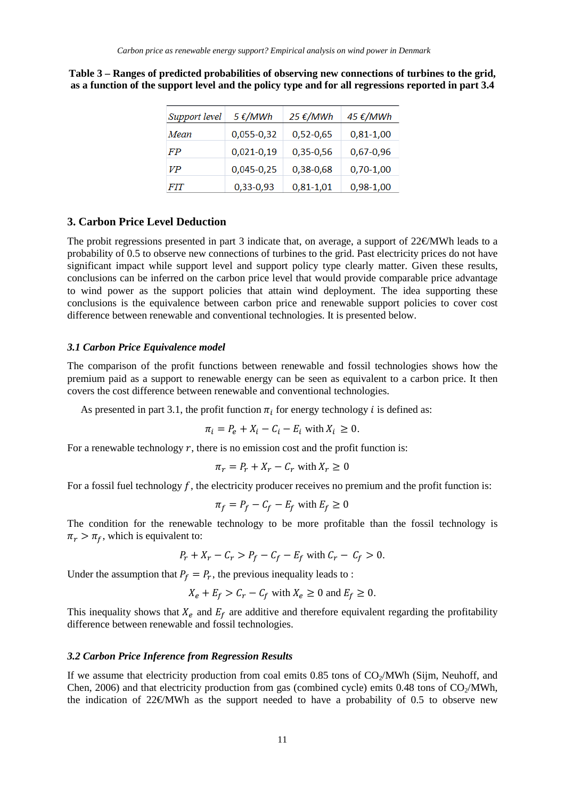| Support level | $5 \frac{\epsilon}{MWh}$ | 25 €/MWh    | 45 €/MWh    |
|---------------|--------------------------|-------------|-------------|
| Mean          | 0,055-0,32               | $0,52-0,65$ | $0,81-1,00$ |
| FP            | $0,021-0,19$             | 0,35-0,56   | $0,67-0,96$ |
| VP            | 0,045-0,25               | 0,38-0,68   | $0,70-1,00$ |
| <b>FIT</b>    | 0,33-0,93                | $0,81-1,01$ | $0,98-1,00$ |

**Table 3 – Ranges of predicted probabilities of observing new connections of turbines to the grid, as a function of the support level and the policy type and for all regressions reported in part 3.4**

## **3. Carbon Price Level Deduction**

The probit regressions presented in part 3 indicate that, on average, a support of 22€MWh leads to a probability of 0.5 to observe new connections of turbines to the grid. Past electricity prices do not have significant impact while support level and support policy type clearly matter. Given these results, conclusions can be inferred on the carbon price level that would provide comparable price advantage to wind power as the support policies that attain wind deployment. The idea supporting these conclusions is the equivalence between carbon price and renewable support policies to cover cost difference between renewable and conventional technologies. It is presented below.

#### *3.1 Carbon Price Equivalence model*

The comparison of the profit functions between renewable and fossil technologies shows how the premium paid as a support to renewable energy can be seen as equivalent to a carbon price. It then covers the cost difference between renewable and conventional technologies.

As presented in part 3.1, the profit function  $\pi_i$  for energy technology *i* is defined as:

$$
\pi_i = P_e + X_i - C_i - E_i \text{ with } X_i \ge 0.
$$

For a renewable technology  $r$ , there is no emission cost and the profit function is:

$$
\pi_r = P_r + X_r - C_r \text{ with } X_r \ge 0
$$

For a fossil fuel technology  $f$ , the electricity producer receives no premium and the profit function is:

$$
\pi_f = P_f - C_f - E_f \text{ with } E_f \ge 0
$$

The condition for the renewable technology to be more profitable than the fossil technology is  $\pi_r > \pi_f$ , which is equivalent to:

$$
P_r + X_r - C_r > P_f - C_f - E_f \text{ with } C_r - C_f > 0.
$$

Under the assumption that  $P_f = P_r$ , the previous inequality leads to:

$$
X_e + E_f > C_r - C_f \text{ with } X_e \ge 0 \text{ and } E_f \ge 0.
$$

This inequality shows that  $X_e$  and  $E_f$  are additive and therefore equivalent regarding the profitability difference between renewable and fossil technologies.

#### *3.2 Carbon Price Inference from Regression Results*

If we assume that electricity production from coal emits 0.85 tons of  $CO<sub>2</sub>/MWh$  (Sijm, Neuhoff, and Chen, 2006) and that electricity production from gas (combined cycle) emits 0.48 tons of  $CO<sub>2</sub>/MWh$ , the indication of 22€/MWh as the support needed to have a probability of 0.5 to observe new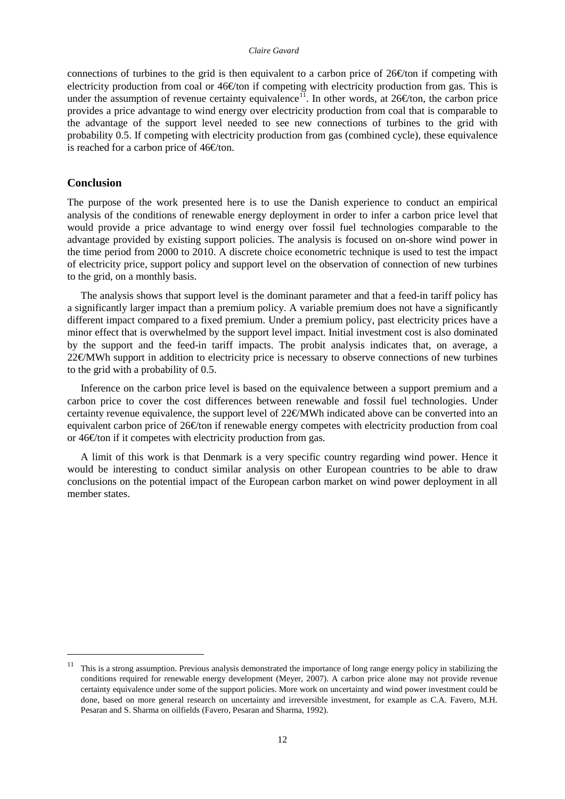#### *Claire Gavard*

connections of turbines to the grid is then equivalent to a carbon price of  $26\text{\textcirc}$  for if competing with electricity production from coal or  $46\oplus$  ton if competing with electricity production from gas. This is under the assumption of revenue certainty equivalence<sup>11</sup>. In other words, at 26 € ton, the carbon price provides a price advantage to wind energy over electricity production from coal that is comparable to the advantage of the support level needed to see new connections of turbines to the grid with probability 0.5. If competing with electricity production from gas (combined cycle), these equivalence is reached for a carbon price of  $46\text{C}$ ton.

#### **Conclusion**

The purpose of the work presented here is to use the Danish experience to conduct an empirical analysis of the conditions of renewable energy deployment in order to infer a carbon price level that would provide a price advantage to wind energy over fossil fuel technologies comparable to the advantage provided by existing support policies. The analysis is focused on on-shore wind power in the time period from 2000 to 2010. A discrete choice econometric technique is used to test the impact of electricity price, support policy and support level on the observation of connection of new turbines to the grid, on a monthly basis.

The analysis shows that support level is the dominant parameter and that a feed-in tariff policy has a significantly larger impact than a premium policy. A variable premium does not have a significantly different impact compared to a fixed premium. Under a premium policy, past electricity prices have a minor effect that is overwhelmed by the support level impact. Initial investment cost is also dominated by the support and the feed-in tariff impacts. The probit analysis indicates that, on average, a 22€MWh support in addition to electricity price is necessary to observe connections of new turbines to the grid with a probability of 0.5.

Inference on the carbon price level is based on the equivalence between a support premium and a carbon price to cover the cost differences between renewable and fossil fuel technologies. Under certainty revenue equivalence, the support level of 22€/MWh indicated above can be converted into an equivalent carbon price of 26€ ton if renewable energy competes with electricity production from coal or  $46\text{C}$  ton if it competes with electricity production from gas.

A limit of this work is that Denmark is a very specific country regarding wind power. Hence it would be interesting to conduct similar analysis on other European countries to be able to draw conclusions on the potential impact of the European carbon market on wind power deployment in all member states.

<span id="page-19-0"></span> $11$  This is a strong assumption. Previous analysis demonstrated the importance of long range energy policy in stabilizing the conditions required for renewable energy development (Meyer, 2007). A carbon price alone may not provide revenue certainty equivalence under some of the support policies. More work on uncertainty and wind power investment could be done, based on more general research on uncertainty and irreversible investment, for example as C.A. Favero, M.H. Pesaran and S. Sharma on oilfields (Favero, Pesaran and Sharma, 1992).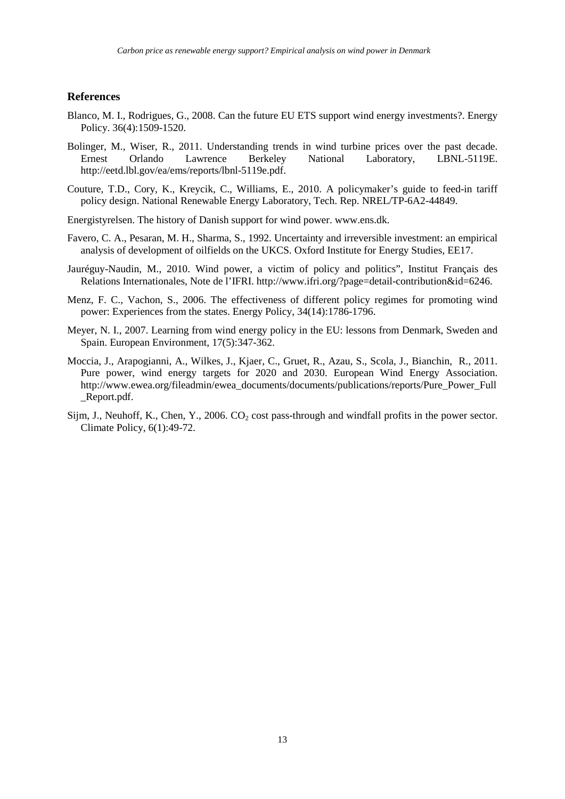#### **References**

- Blanco, M. I., Rodrigues, G., 2008. Can the future EU ETS support wind energy investments?. Energy Policy. 36(4):1509-1520.
- Bolinger, M., Wiser, R., 2011. Understanding trends in wind turbine prices over the past decade. Ernest Orlando Lawrence Berkeley National Laboratory, LBNL-5119E. [http://eetd.lbl.gov/ea/ems/reports/lbnl-5119e.pdf.](http://eetd.lbl.gov/ea/ems/reports/lbnl-5119e.pdf)
- Couture, T.D., Cory, K., Kreycik, C., Williams, E., 2010. A policymaker's guide to feed-in tariff policy design. National Renewable Energy Laboratory, Tech. Rep. NREL/TP-6A2-44849.
- Energistyrelsen. The history of Danish support for wind power. [www.ens.dk.](http://www.ens.dk/)
- Favero, C. A., Pesaran, M. H., Sharma, S., 1992. Uncertainty and irreversible investment: an empirical analysis of development of oilfields on the UKCS. Oxford Institute for Energy Studies, EE17.
- Jauréguy-Naudin, M., 2010. Wind power, a victim of policy and politics", Institut Français des Relations Internationales, Note de l'IFRI. [http://www.ifri.org/?page=detail-contribution&id=6246.](http://www.ifri.org/?page=detail-contribution&id=6246)
- Menz, F. C., Vachon, S., 2006. The effectiveness of different policy regimes for promoting wind power: Experiences from the states. Energy Policy, 34(14):1786-1796.
- Meyer, N. I., 2007. Learning from wind energy policy in the EU: lessons from Denmark, Sweden and Spain. European Environment, 17(5):347-362.
- Moccia, J., Arapogianni, A., Wilkes, J., Kjaer, C., Gruet, R., Azau, S., Scola, J., Bianchin, R., 2011. Pure power, wind energy targets for 2020 and 2030. European Wind Energy Association. [http://www.ewea.org/fileadmin/ewea\\_documents/documents/publications/reports/Pure\\_Power\\_Full](http://www.ewea.org/fileadmin/ewea_documents/documents/publications/reports/Pure_Power_Full_Report.pdf) \_[Report.pdf.](http://www.ewea.org/fileadmin/ewea_documents/documents/publications/reports/Pure_Power_Full_Report.pdf)
- Sijm, J., Neuhoff, K., Chen, Y., 2006.  $CO_2$  cost pass-through and windfall profits in the power sector. Climate Policy, 6(1):49-72.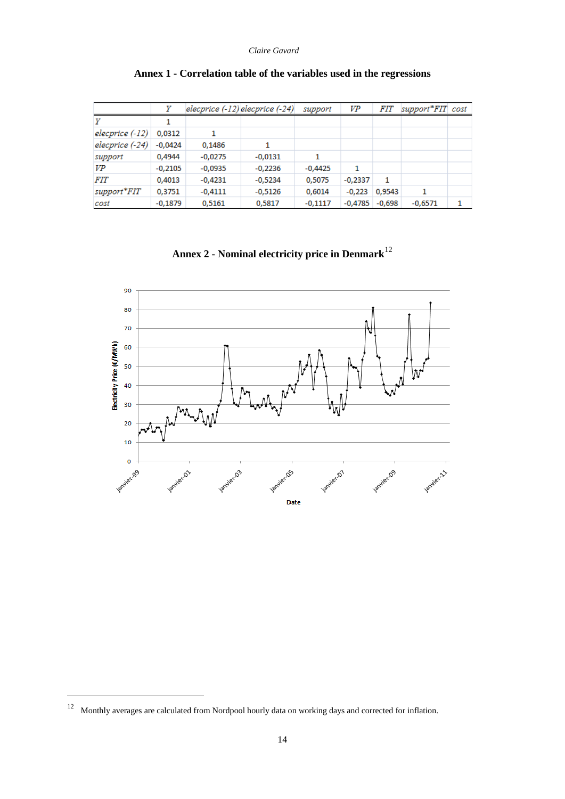|                 | γ         | $elecprice (-12) elecprice (-24)$ |           | support   | VP        | <i>FIT</i> | support*FIT cost |   |
|-----------------|-----------|-----------------------------------|-----------|-----------|-----------|------------|------------------|---|
|                 |           |                                   |           |           |           |            |                  |   |
| elecprice (-12) | 0,0312    | 1                                 |           |           |           |            |                  |   |
| elecprice (-24) | $-0,0424$ | 0,1486                            | 1         |           |           |            |                  |   |
| support         | 0,4944    | $-0,0275$                         | $-0,0131$ | 1         |           |            |                  |   |
| VP              | $-0,2105$ | $-0,0935$                         | $-0,2236$ | $-0,4425$ | 1         |            |                  |   |
| <i>FIT</i>      | 0,4013    | $-0,4231$                         | $-0,5234$ | 0,5075    | $-0,2337$ | 1          |                  |   |
| support*FIT     | 0,3751    | $-0,4111$                         | $-0,5126$ | 0,6014    | $-0,223$  | 0,9543     | 1                |   |
| cost            | $-0,1879$ | 0,5161                            | 0,5817    | $-0,1117$ | $-0.4785$ | $-0.698$   | $-0,6571$        | 1 |

## **Annex 1 - Correlation table of the variables used in the regressions**

**Annex 2 - Nominal electricity price in Denmark**[12](#page-19-0)



 <sup>12</sup> Monthly averages are calculated from Nordpool hourly data on working days and corrected for inflation.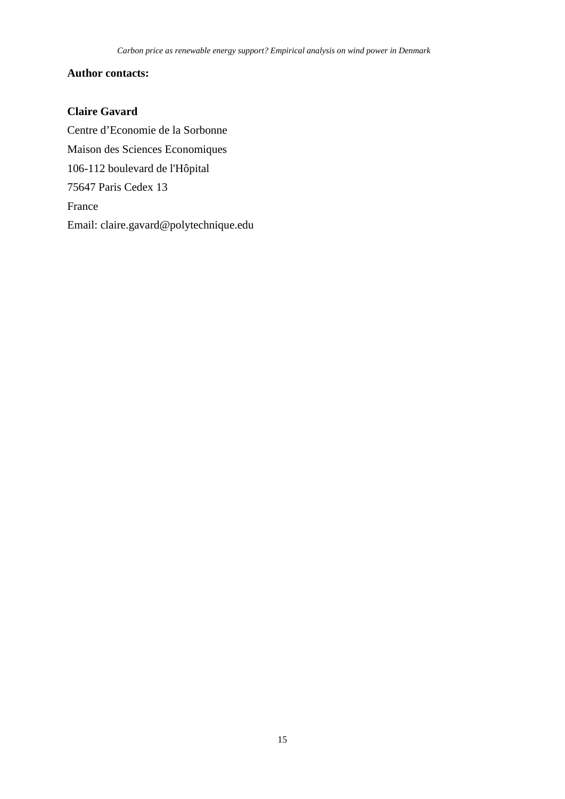## **Author contacts:**

## **Claire Gavard**

Centre d'Economie de la Sorbonne Maison des Sciences Economiques 106-112 boulevard de l'Hôpital 75647 Paris Cedex 13 France Email: claire.gavard@polytechnique.edu